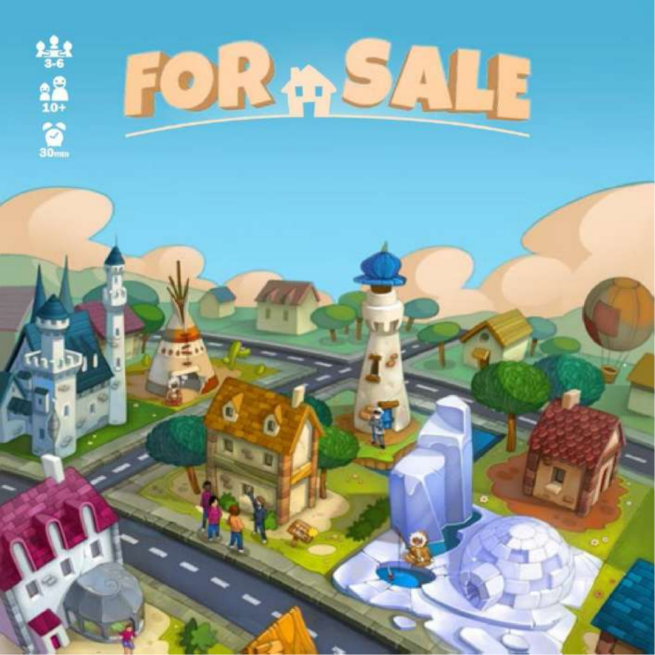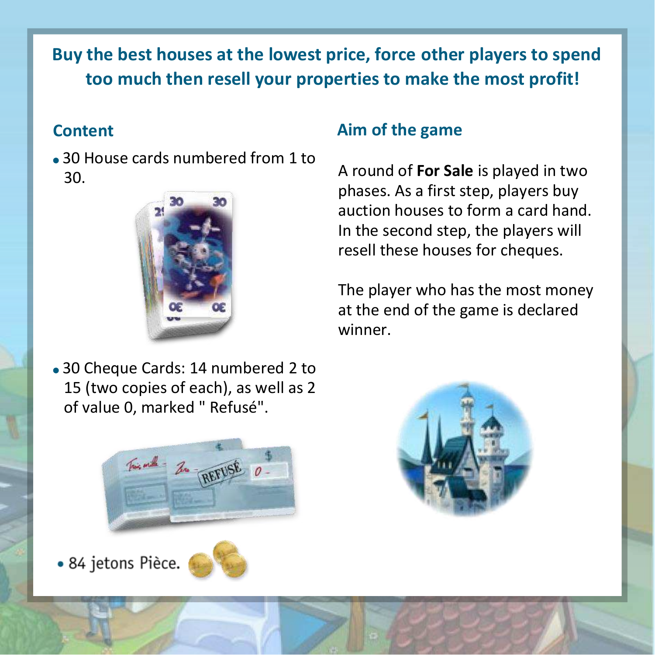# **Buy the best houses at the lowest price, force other players to spend too much then resell your properties to make the most profit!**

# **Content**

30 House cards numbered from 1 to 30.



• 30 Cheque Cards: 14 numbered 2 to 15 (two copies of each), as well as 2 of value 0, marked " Refusé".

# **Aim of the game**

A round of **For Sale** is played in two phases. As a first step, players buy auction houses to form a card hand. In the second step, the players will resell these houses for cheques.

The player who has the most money at the end of the game is declared winner.



· 84 jetons Pièce.

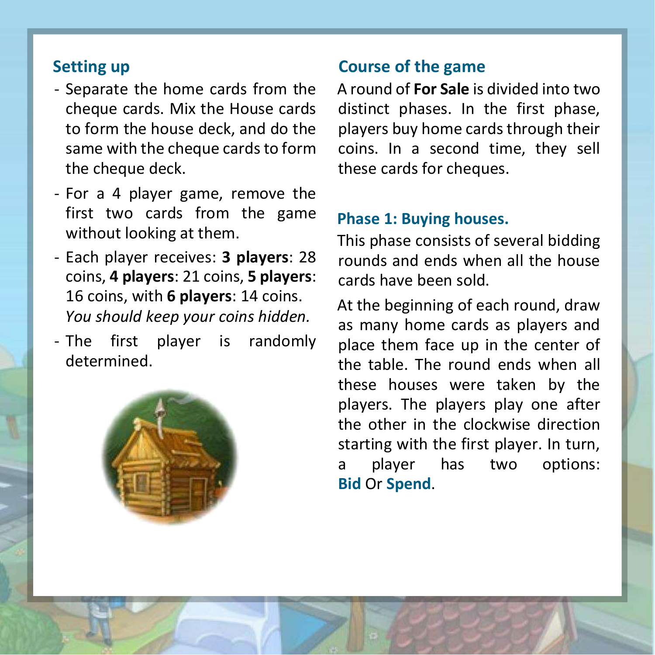# **Setting up**

- Separate the home cards from the cheque cards. Mix the House cards to form the house deck, and do the same with the cheque cards to form the cheque deck.
- For a 4 player game, remove the first two cards from the game without looking at them.
- Each player receives: **3 players**: 28 coins, **4 players**: 21 coins, **5 players**: 16 coins, with **6 players**: 14 coins. *You should keep your coins hidden.*
- The first player is randomly determined.



# **Course of the game**

A round of **For Sale** is divided into two distinct phases. In the first phase, players buy home cards through their coins. In a second time, they sell these cards for cheques.

### **Phase 1: Buying houses.**

This phase consists of several bidding rounds and ends when all the house cards have been sold.

At the beginning of each round, draw as many home cards as players and place them face up in the center of the table. The round ends when all these houses were taken by the players. The players play one after the other in the clockwise direction starting with the first player. In turn, a player has two options: **Bid** Or **Spend**.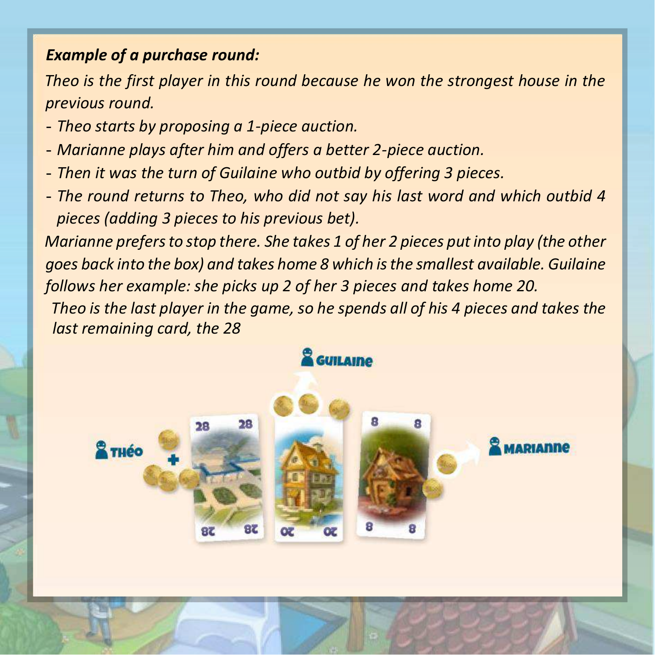# *Example of a purchase round:*

*Theo is the first player in this round because he won the strongest house in the previous round.* 

- *- Theo starts by proposing a 1-piece auction.*
- *- Marianne plays after him and offers a better 2-piece auction.*
- *- Then it was the turn of Guilaine who outbid by offering 3 pieces.*
- *- The round returns to Theo, who did not say his last word and which outbid 4 pieces (adding 3 pieces to his previous bet).*

*Marianne prefers to stop there. She takes 1 of her 2 pieces put into play (the other goes back into the box) and takes home 8 which is the smallest available. Guilaine follows her example: she picks up 2 of her 3 pieces and takes home 20.*

*Theo is the last player in the game, so he spends all of his 4 pieces and takes the last remaining card, the 28*

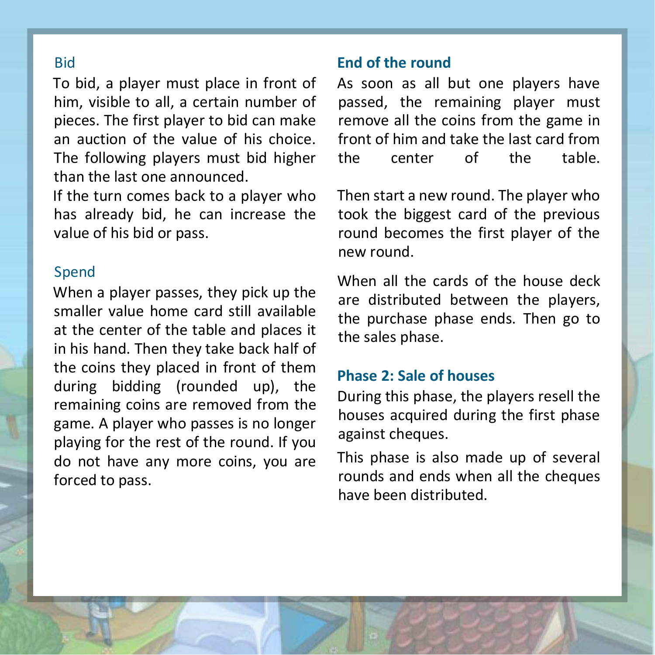### Bid

To bid, a player must place in front of him, visible to all, a certain number of pieces. The first player to bid can make an auction of the value of his choice. The following players must bid higher than the last one announced.

If the turn comes back to a player who has already bid, he can increase the value of his bid or pass.

#### Spend

When a player passes, they pick up the smaller value home card still available at the center of the table and places it in his hand. Then they take back half of the coins they placed in front of them during bidding (rounded up), the remaining coins are removed from the game. A player who passes is no longer playing for the rest of the round. If you do not have any more coins, you are forced to pass.

### **End of the round**

As soon as all but one players have passed, the remaining player must remove all the coins from the game in front of him and take the last card from<br>the center of the table the center of the

Then start a new round. The player who took the biggest card of the previous round becomes the first player of the new round.

When all the cards of the house deck are distributed between the players, the purchase phase ends. Then go to the sales phase.

### **Phase 2: Sale of houses**

During this phase, the players resell the houses acquired during the first phase against cheques.

This phase is also made up of several rounds and ends when all the cheques have been distributed.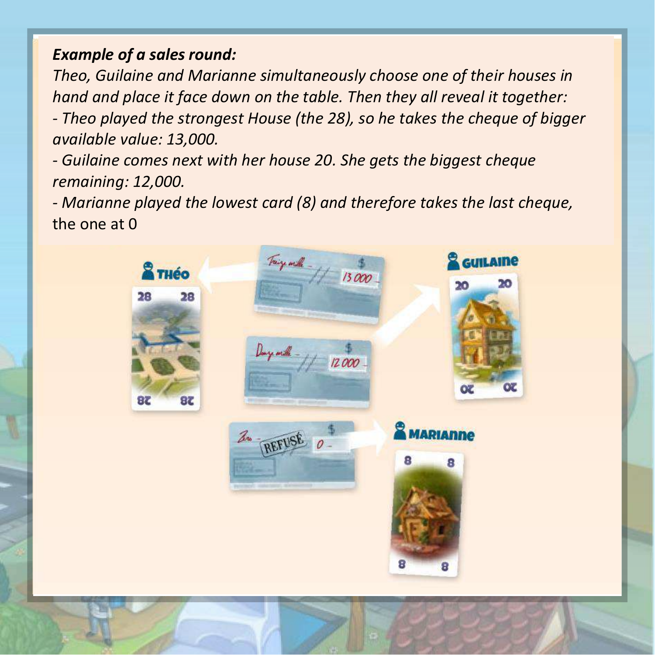# *Example of a sales round:*

*Theo, Guilaine and Marianne simultaneously choose one of their houses in hand and place it face down on the table. Then they all reveal it together: - Theo played the strongest House (the 28), so he takes the cheque of bigger available value: 13,000.*

*- Guilaine comes next with her house 20. She gets the biggest cheque remaining: 12,000.*

*- Marianne played the lowest card (8) and therefore takes the last cheque,* the one at 0

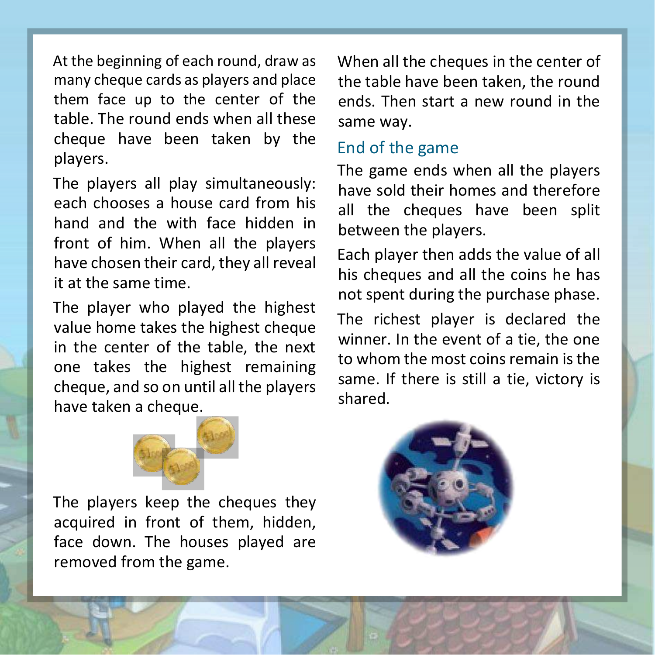At the beginning of each round, draw as many cheque cards as players and place them face up to the center of the table. The round ends when all these cheque have been taken by the players.

The players all play simultaneously: each chooses a house card from his hand and the with face hidden in front of him. When all the players have chosen their card, they all reveal it at the same time.

The player who played the highest value home takes the highest cheque in the center of the table, the next one takes the highest remaining cheque, and so on until all the players have taken a cheque.

When all the cheques in the center of the table have been taken, the round ends. Then start a new round in the same way.

### End of the game

The game ends when all the players have sold their homes and therefore all the cheques have been split between the players.

Each player then adds the value of all his cheques and all the coins he has not spent during the purchase phase.

The richest player is declared the winner. In the event of a tie, the one to whom the most coins remain is the same. If there is still a tie, victory is shared.



The players keep the cheques they acquired in front of them, hidden, face down. The houses played are removed from the game.